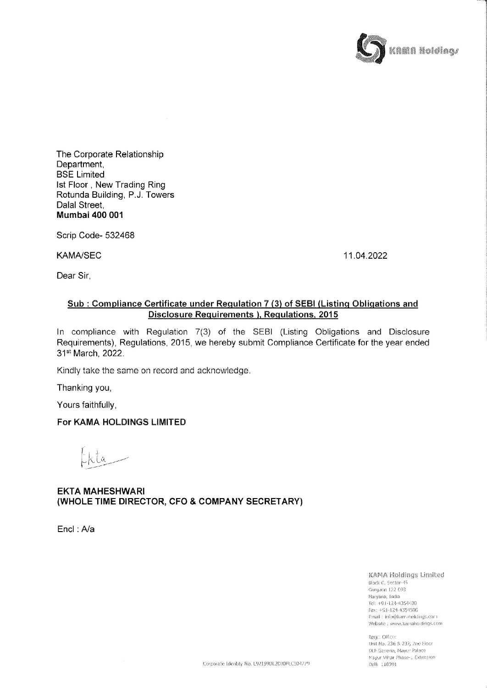

The Corporate Relationship Department, BSE Limited Ist Floor , New Trading Ring Rotunda Building, P.J. Towers Dalal Street Mumbai 400 001

Scrip Code- 532468

KAMA/SEC 11.04.2022

Dear Sir,

## Sub : Compliance Certificate under Regulation 7 (3) of SEBI (Listing Obligations and Disclosure Requirements ), Requlations, 2015

In compliance with Regulation 7(3) of the SEBI (Listing Obligations and Disclosure Requirements), Regulations, 2015, we hereby submit Compliance Certificate for the year ended 31® March, 2022.

Kindly take the same on record and acknowledge.

Thanking you,

Yours faithfully,

## For KAMA HOLDINGS LIMITED

 $ia =$ 

EKTA MAHESHWARI (WHOLE TIME DIRECTOR, CFO & COMPANY SECRETARY)

Encl : A/a

KAMA Holdings Limited Block-C, Sector-45 Gurgaon 122.003 Haryana, India Tel: +91-124-4354400 Fax: +91-124-4354500 Email: info@kamahoklings.com Website : www.kariaholdings.com

Regal Office: Unit No. 236 & 237, 2nd Hoor DLF Gaseria, Mayur Palace ma<br>Del